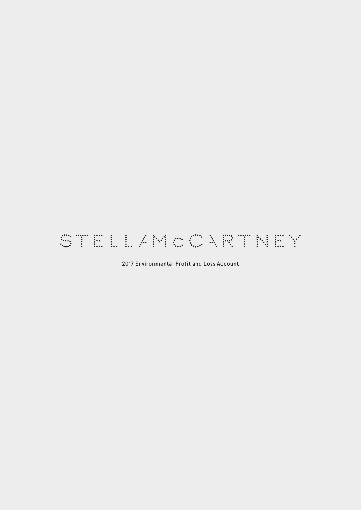# STELLAMOURTNEY

2017 Environmental Profit and Loss Account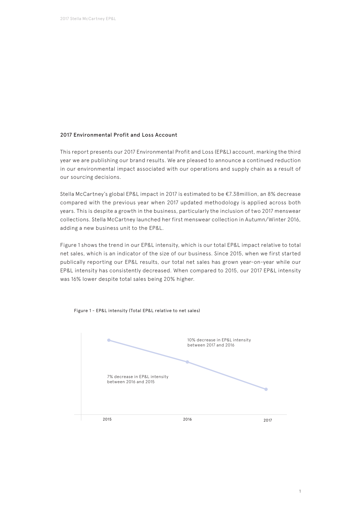## 2017 Environmental Profit and Loss Account

This report presents our 2017 Environmental Profit and Loss (EP&L) account, marking the third year we are publishing our brand results. We are pleased to announce a continued reduction in our environmental impact associated with our operations and supply chain as a result of our sourcing decisions.

Stella McCartney's global EP&L impact in 2017 is estimated to be €7.38million, an 8% decrease compared with the previous year when 2017 updated methodology is applied across both years. This is despite a growth in the business, particularly the inclusion of two 2017 menswear collections. Stella McCartney launched her first menswear collection in Autumn/Winter 2016, adding a new business unit to the EP&L.

Figure 1 shows the trend in our EP&L intensity, which is our total EP&L impact relative to total net sales, which is an indicator of the size of our business. Since 2015, when we first started publically reporting our EP&L results, our total net sales has grown year-on-year while our EP&L intensity has consistently decreased. When compared to 2015, our 2017 EP&L intensity was 16% lower despite total sales being 20% higher.



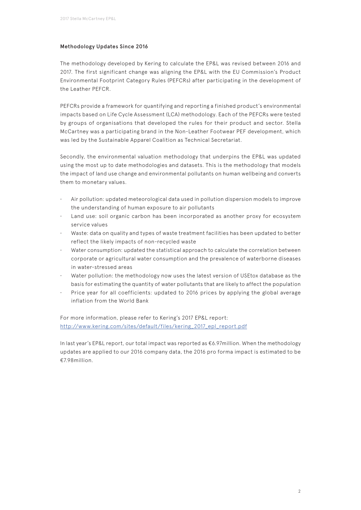## Methodology Updates Since 2016

The methodology developed by Kering to calculate the EP&L was revised between 2016 and 2017. The first significant change was aligning the EP&L with the EU Commission's Product Environmental Footprint Category Rules (PEFCRs) after participating in the development of the Leather PEFCR.

PEFCRs provide a framework for quantifying and reporting a finished product's environmental impacts based on Life Cycle Assessment (LCA) methodology. Each of the PEFCRs were tested by groups of organisations that developed the rules for their product and sector. Stella McCartney was a participating brand in the Non-Leather Footwear PEF development, which was led by the Sustainable Apparel Coalition as Technical Secretariat.

Secondly, the environmental valuation methodology that underpins the EP&L was updated using the most up to date methodologies and datasets. This is the methodology that models the impact of land use change and environmental pollutants on human wellbeing and converts them to monetary values.

- Air pollution: updated meteorological data used in pollution dispersion models to improve the understanding of human exposure to air pollutants
- Land use: soil organic carbon has been incorporated as another proxy for ecosystem service values
- Waste: data on quality and types of waste treatment facilities has been updated to better reflect the likely impacts of non-recycled waste
- Water consumption: updated the statistical approach to calculate the correlation between corporate or agricultural water consumption and the prevalence of waterborne diseases in water-stressed areas
- Water pollution: the methodology now uses the latest version of USEtox database as the basis for estimating the quantity of water pollutants that are likely to affect the population
- Price year for all coefficients: updated to 2016 prices by applying the global average inflation from the World Bank

For more information, please refer to Kering's 2017 EP&L report: http://www.kering.com/sites/default/files/kering\_2017\_epl\_report.pdf

In last year's EP&L report, our total impact was reported as €6.97million. When the methodology updates are applied to our 2016 company data, the 2016 pro forma impact is estimated to be €7.98million.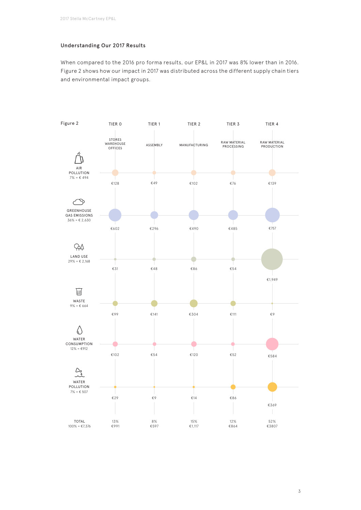# Understanding Our 2017 Results

When compared to the 2016 pro forma results, our EP&L in 2017 was 8% lower than in 2016. Figure 2 shows how our impact in 2017 was distributed across the different supply chain tiers and environmental impact groups.



3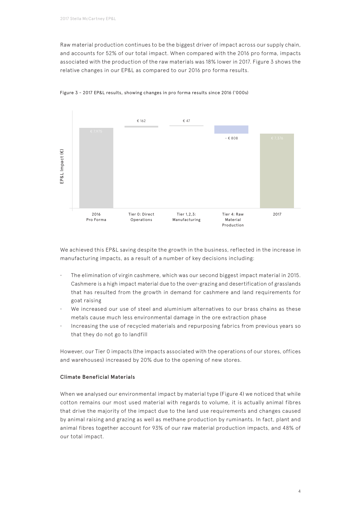Raw material production continues to be the biggest driver of impact across our supply chain, and accounts for 52% of our total impact. When compared with the 2016 pro forma, impacts associated with the production of the raw materials was 18% lower in 2017. Figure 3 shows the relative changes in our EP&L as compared to our 2016 pro forma results.



### Figure 3 - 2017 EP&L results, showing changes in pro forma results since 2016 ('000s)

We achieved this EP&L saving despite the growth in the business, reflected in the increase in manufacturing impacts, as a result of a number of key decisions including:

- The elimination of virgin cashmere, which was our second biggest impact material in 2015. Cashmere is a high impact material due to the over-grazing and desertification of grasslands that has resulted from the growth in demand for cashmere and land requirements for goat raising
- We increased our use of steel and aluminium alternatives to our brass chains as these metals cause much less environmental damage in the ore extraction phase
- Increasing the use of recycled materials and repurposing fabrics from previous years so that they do not go to landfill

However, our Tier 0 impacts (the impacts associated with the operations of our stores, offices and warehouses) increased by 20% due to the opening of new stores.

## Climate Beneficial Materials

When we analysed our environmental impact by material type (Figure 4) we noticed that while cotton remains our most used material with regards to volume, it is actually animal fibres that drive the majority of the impact due to the land use requirements and changes caused by animal raising and grazing as well as methane production by ruminants. In fact, plant and animal fibres together account for 93% of our raw material production impacts, and 48% of our total impact.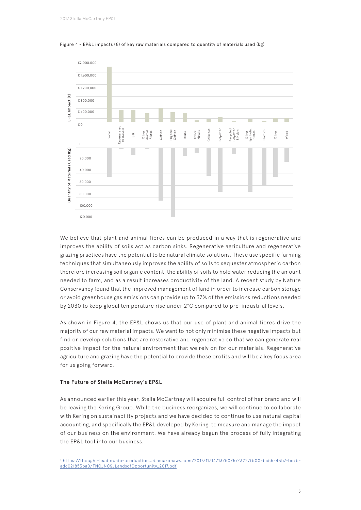

Figure 4 - EP&L impacts ( $\varepsilon$ ) of key raw materials compared to quantity of materials used (kg)

We believe that plant and animal fibres can be produced in a way that is regenerative and improves the ability of soils act as carbon sinks. Regenerative agriculture and regenerative grazing practices have the potential to be natural climate solutions. These use specific farming techniques that simultaneously improves the ability of soils to sequester atmospheric carbon therefore increasing soil organic content, the ability of soils to hold water reducing the amount needed to farm, and as a result increases productivity of the land. A recent study by Nature Conservancy found that the improved management of land in order to increase carbon storage or avoid greenhouse gas emissions can provide up to 37% of the emissions reductions needed by 2030 to keep global temperature rise under 2°C compared to pre-industrial levels.

As shown in Figure 4, the EP&L shows us that our use of plant and animal fibres drive the majority of our raw material impacts. We want to not only minimise these negative impacts but find or develop solutions that are restorative and regenerative so that we can generate real positive impact for the natural environment that we rely on for our materials. Regenerative agriculture and grazing have the potential to provide these profits and will be a key focus area for us going forward.

### The Future of Stella McCartney's EP&L

As announced earlier this year, Stella McCartney will acquire full control of her brand and will be leaving the Kering Group. While the business reorganizes, we will continue to collaborate with Kering on sustainability projects and we have decided to continue to use natural capital accounting, and specifically the EP&L developed by Kering, to measure and manage the impact of our business on the environment. We have already begun the process of fully integrating

<sup>1</sup> https://thought-leadership-production.s3.amazonaws.com/2017/11/14/13/50/57/3227fb00-bc55-43b7-be7badc021853ba0/TNC\_NCS\_LandsofOpportunity\_2017.pdf